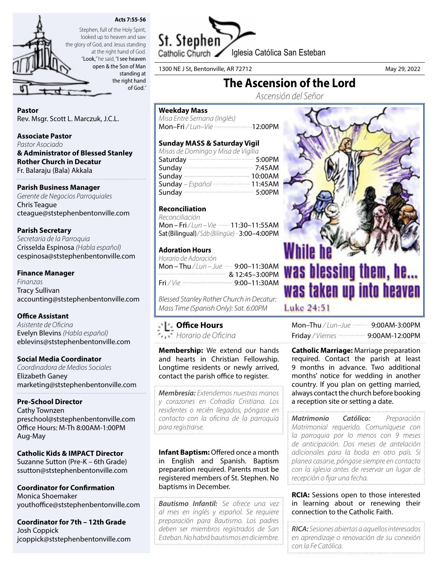



looked up to heaven and saw the glory of God, and Jesus standing at the right hand of God. "Look," he said, "I see heaven open & the Son of Man

standing at the right hand of God."

# Pastor

Rev. Msgr. Scott L. Marczuk, J.C.L.

## Associate Pastor

*Pastor Asociado* & Administrator of Blessed Stanley Rother Church in Decatur Fr. Balaraju (Bala) Akkala

# Parish Business Manager

*Gerente de Negocios Parroquiales* Chris Teague cteague@ststephenbentonville.com

## Parish Secretary

*Secretaria de la Parroquia* Crisselda Espinosa *(Habla español)* cespinosa@ststephenbentonville.com

## Finance Manager

*Finanzas* Tracy Sullivan accounting@ststephenbentonville.com

## Office Assistant

*Asistente de Oficina* Evelyn Blevins *(Habla español)* eblevins@ststephenbentonville.com

## Social Media Coordinator

*Coordinadora de Medios Sociales* Elizabeth Ganey marketing@ststephenbentonville.com

## Pre-School Director

Cathy Townzen preschool@ststephenbentonville.com Office Hours: M-Th 8:00AM-1:00PM Aug-May

# Catholic Kids & IMPACT Director

Suzanne Sutton (Pre-K – 6th Grade) ssutton@ststephenbentonville.com

Coordinator for Confirmation Monica Shoemaker youthoffice@ststephenbentonville.com

Coordinator for 7th – 12th Grade Josh Coppick jcoppick@ststephenbentonville.com



1300 NE J St, Bentonville, AR 72712 degree and the state of the May 29, 2022

# The Ascension of the Lord

*Ascensión del Señor*

# Weekday Mass

*Misa Entre Semana (Inglés)* Mon-Fri / Lun-Vie ---------------------------12:00PM

# Sunday MASS & Saturday Vigil

| Misas de Domingo y Misa de Vigilia |  |
|------------------------------------|--|
| Saturday 200PM                     |  |
| Sunday 2:45AM                      |  |
|                                    |  |
| Sunday - Español  11:45AM          |  |
| Sunday 3:00PM                      |  |

# Reconciliation

*Reconciliación*  Mon – Fri / Lun – Vie **- 11:30–11:55AM** Sat (Bilingual)*/ Sáb (Bilingüe)* 3:00–4:00PM

# Adoration Hours

| <u>&amp; 12:45-3:00PM</u> |
|---------------------------|
|                           |
|                           |

*Blessed Stanley Rother Church in Decatur: Mass Time (Spanish Only): Sat. 6:00PM*

# Office Hours

*Horario de Oficina*

Membership: We extend our hands and hearts in Christian Fellowship. Longtime residents or newly arrived, contact the parish office to register.

*Membresía: Extendemos nuestras manos y corazones en Cofradía Cristiana. Los residentes o recién llegados, póngase en contacto con la oficina de la parroquia para registrarse.*

Infant Baptism: Offered once a month in English and Spanish. Baptism preparation required. Parents must be registered members of St. Stephen. No baptisms in December.

*Bautismo Infantil: Se ofrece una vez al mes en inglés y español. Se requiere preparación para Bautismo. Los padres deben ser miembros registrados de San Esteban. No habrá bautismos en diciembre.*



Luke 24:51

| Mon-Thu / Lun-Jue $\frac{1}{2}$ 9:00AM-3:00PM      |
|----------------------------------------------------|
| Friday / Viernes ------------------ 9:00AM-12:00PM |

Catholic Marriage: Marriage preparation required. Contact the parish at least 9 months in advance. Two additional months' notice for wedding in another country. If you plan on getting married, always contact the church before booking a reception site or setting a date.

*Matrimonio Católico: Preparación Matrimonial requerido. Comuníquese con la parroquia por lo menos con 9 meses de anticipación. Dos meses de antelación adicionales para la boda en otro país. Si planea casarse, póngase siempre en contacto con la iglesia antes de reservar un lugar de recepción o fijar una fecha.*

**RCIA:** Sessions open to those interested in learning about or renewing their connection to the Catholic Faith.

*RICA: Sesiones abiertas a aquellos interesados en aprendizaje o renovación de su conexión con la Fe Católica.*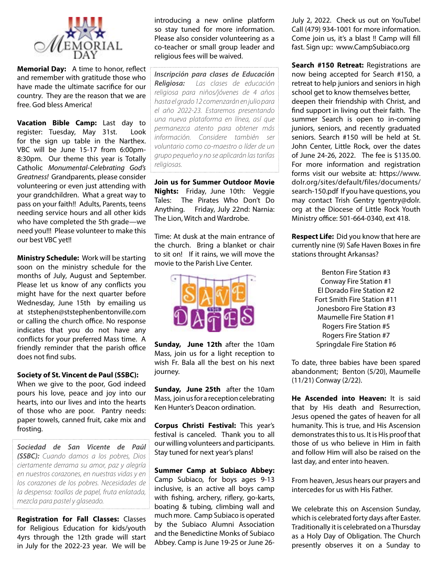

Memorial Day: A time to honor, reflect and remember with gratitude those who have made the ultimate sacrifice for our country. They are the reason that we are free. God bless America!

Vacation Bible Camp: Last day to register: Tuesday, May 31st. Look for the sign up table in the Narthex. VBC will be June 15-17 from 6:00pm-8:30pm. Our theme this year is Totally Catholic *Monumental-Celebrating God's Greatness!* Grandparents, please consider volunteering or even just attending with your grandchildren. What a great way to pass on your faith!! Adults, Parents, teens needing service hours and all other kids who have completed the 5th grade—we need you!!! Please volunteer to make this our best VBC yet!!

**Ministry Schedule:** Work will be starting soon on the ministry schedule for the months of July, August and September. Please let us know of any conflicts you might have for the next quarter before Wednesday, June 15th by emailing us at ststephen@ststephenbentonville.com or calling the church office. No response indicates that you do not have any conflicts for your preferred Mass time. A friendly reminder that the parish office does not find subs.

#### Society of St. Vincent de Paul (SSBC):

When we give to the poor, God indeed pours his love, peace and joy into our hearts, into our lives and into the hearts of those who are poor. Pantry needs: paper towels, canned fruit, cake mix and frosting.

*Sociedad de San Vicente de Paúl (SSBC): Cuando damos a los pobres, Dios ciertamente derrama su amor, paz y alegría en nuestros corazones, en nuestras vidas y en los corazones de los pobres. Necesidades de la despensa: toallas de papel, fruta enlatada, mezcla para pastel y glaseado.*

Registration for Fall Classes: Classes for Religious Education for kids/youth 4yrs through the 12th grade will start in July for the 2022-23 year. We will be

introducing a new online platform so stay tuned for more information. Please also consider volunteering as a co-teacher or small group leader and religious fees will be waived.

*Inscripción para clases de Educación Religiosa: Las clases de educación religiosa para niños/jóvenes de 4 años hasta el grado 12 comenzarán en julio para el año 2022-23. Estaremos presentando una nueva plataforma en línea, así que permanezca atento para obtener más información. Considere también ser voluntario como co-maestro o líder de un grupo pequeño y no se aplicarán las tarifas religiosas.*

Join us for Summer Outdoor Movie Nights: Friday, June 10th: Veggie Tales: The Pirates Who Don't Do Anything. Friday, July 22nd: Narnia: The Lion, Witch and Wardrobe.

Time: At dusk at the main entrance of the church. Bring a blanket or chair to sit on! If it rains, we will move the movie to the Parish Live Center.



Sunday, June 12th after the 10am Mass, join us for a light reception to wish Fr. Bala all the best on his next journey.

Sunday, June 25th after the 10am Mass, join us for a reception celebrating Ken Hunter's Deacon ordination.

Corpus Christi Festival: This year's festival is canceled. Thank you to all our willing volunteers and participants. Stay tuned for next year's plans!

Summer Camp at Subiaco Abbey: Camp Subiaco, for boys ages 9-13 inclusive, is an active all boys camp with fishing, archery, riflery, go-karts, boating & tubing, climbing wall and much more. Camp Subiaco is operated by the Subiaco Alumni Association and the Benedictine Monks of Subiaco Abbey. Camp is June 19-25 or June 26July 2, 2022. Check us out on YouTube! Call (479) 934-1001 for more information. Come join us, it's a blast !! Camp will fill fast. Sign up:: www.CampSubiaco.org

Search #150 Retreat: Registrations are now being accepted for Search #150, a retreat to help juniors and seniors in high school get to know themselves better, deepen their friendship with Christ, and find support in living out their faith. The summer Search is open to in-coming juniors, seniors, and recently graduated seniors. Search #150 will be held at St. John Center, Little Rock, over the dates of June 24-26, 2022. The fee is \$135.00. For more information and registration forms visit our website at: https://www. dolr.org/sites/default/files/documents/ search-150.pdf If you have questions, you may contact Trish Gentry tgentry@dolr. org at the Diocese of Little Rock Youth Ministry office: 501-664-0340, ext 418.

**Respect Life:** Did you know that here are currently nine (9) Safe Haven Boxes in fire stations throught Arkansas?

> Benton Fire Station #3 Conway Fire Station #1 El Dorado Fire Station #2 Fort Smith Fire Station #11 Jonesboro Fire Station #3 Maumelle Fire Station #1 Rogers Fire Station #5 Rogers Fire Station #7 Springdale Fire Station #6

To date, three babies have been spared abandonment; Benton (5/20), Maumelle (11/21) Conway (2/22).

He Ascended into Heaven: It is said that by His death and Resurrection, Jesus opened the gates of heaven for all humanity. This is true, and His Ascension demonstrates this to us. It is His proof that those of us who believe in Him in faith and follow Him will also be raised on the last day, and enter into heaven.

From heaven, Jesus hears our prayers and intercedes for us with His Father.

We celebrate this on Ascension Sunday, which is celebrated forty days after Easter. Traditionally it is celebrated on a Thursday as a Holy Day of Obligation. The Church presently observes it on a Sunday to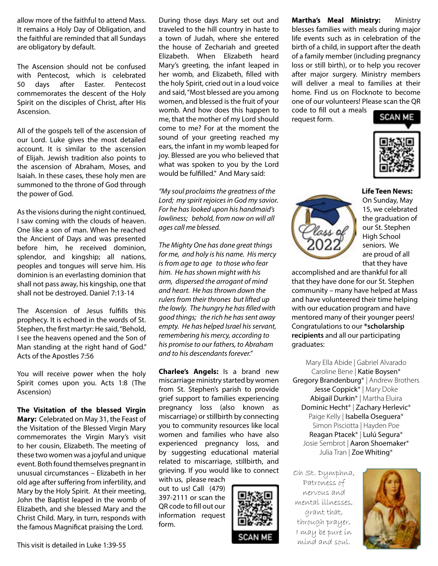allow more of the faithful to attend Mass. It remains a Holy Day of Obligation, and the faithful are reminded that all Sundays are obligatory by default.

The Ascension should not be confused with Pentecost, which is celebrated 50 days after Easter. Pentecost commemorates the descent of the Holy Spirit on the disciples of Christ, after His Ascension.

All of the gospels tell of the ascension of our Lord. Luke gives the most detailed account. It is similar to the ascension of Elijah. Jewish tradition also points to the ascension of Abraham, Moses, and Isaiah. In these cases, these holy men are summoned to the throne of God through the power of God.

As the visions during the night continued, I saw coming with the clouds of heaven. One like a son of man. When he reached the Ancient of Days and was presented before him, he received dominion, splendor, and kingship; all nations, peoples and tongues will serve him. His dominion is an everlasting dominion that shall not pass away, his kingship, one that shall not be destroyed. Daniel 7:13-14

The Ascension of Jesus fulfills this prophecy. It is echoed in the words of St. Stephen, the first martyr: He said, "Behold, I see the heavens opened and the Son of Man standing at the right hand of God." Acts of the Apostles 7:56

You will receive power when the holy Spirit comes upon you. Acts 1:8 (The Ascension)

The Visitation of the blessed Virgin Mary: Celebrated on May 31, the Feast of the Visitation of the Blessed Virgin Mary commemorates the Virgin Mary's visit to her cousin, Elizabeth. The meeting of these two women was a joyful and unique event. Both found themselves pregnant in unusual circumstances – Elizabeth in her old age after suffering from infertility, and Mary by the Holy Spirit. At their meeting, John the Baptist leaped in the womb of Elizabeth, and she blessed Mary and the Christ Child. Mary, in turn, responds with the famous Magnificat praising the Lord.

During those days Mary set out and traveled to the hill country in haste to a town of Judah, where she entered the house of Zechariah and greeted Elizabeth. When Elizabeth heard Mary's greeting, the infant leaped in her womb, and Elizabeth, filled with the holy Spirit, cried out in a loud voice and said, "Most blessed are you among women, and blessed is the fruit of your womb. And how does this happen to me, that the mother of my Lord should come to me? For at the moment the sound of your greeting reached my ears, the infant in my womb leaped for joy. Blessed are you who believed that what was spoken to you by the Lord would be fulfilled." And Mary said:

*"My soul proclaims the greatness of the Lord; my spirit rejoices in God my savior. For he has looked upon his handmaid's lowliness; behold, from now on will all ages call me blessed.*

*The Mighty One has done great things for me, and holy is his name. His mercy is from age to age to those who fear him. He has shown might with his arm, dispersed the arrogant of mind and heart. He has thrown down the rulers from their thrones but lifted up the lowly. The hungry he has filled with good things; the rich he has sent away empty. He has helped Israel his servant, remembering his mercy, according to his promise to our fathers, to Abraham and to his descendants forever."*

Charlee's Angels: Is a brand new miscarriage ministry started by women from St. Stephen's parish to provide grief support to families experiencing pregnancy loss (also known as miscarriage) or stillbirth by connecting you to community resources like local women and families who have also experienced pregnancy loss, and by suggesting educational material related to miscarriage, stillbirth, and grieving. If you would like to connect

with us, please reach out to us! Call (479) 397-2111 or scan the QR code to fill out our information request form.



Martha's Meal Ministry: Ministry blesses families with meals during major life events such as in celebration of the birth of a child, in support after the death of a family member (including pregnancy loss or still birth), or to help you recover after major surgery. Ministry members will deliver a meal to families at their home. Find us on Flocknote to become one of our volunteers! Please scan the QR code to fill out a meals

request form.



Life Teen News: On Sunday, May 15, we celebrated the graduation of our St. Stephen High School seniors. We are proud of all that they have

accomplished and are thankful for all that they have done for our St. Stephen community – many have helped at Mass and have volunteered their time helping with our education program and have mentored many of their younger peers! Congratulations to our \*scholarship recipients and all our participating graduates:

Mary Ella Abide | Gabriel Alvarado Caroline Bene | Katie Boysen\* Gregory Brandenburg\* | Andrew Brothers Jesse Coppick\* | Mary Doke Abigail Durkin\* | Martha Eluira Dominic Hecht\* | Zachary Herlevic\* Paige Kelly | Isabella Oseguera\* Simon Pisciotta | Hayden Poe Reagan Ptacek\* | Lulú Segura\* Josie Sembrot | Aaron Shoemaker\* Julia Tran | Zoe Whiting\*

Oh St. Dymphna, Patroness of nervous and mental illnesses, grant that, through prayer, I may be pure in mind and soul.